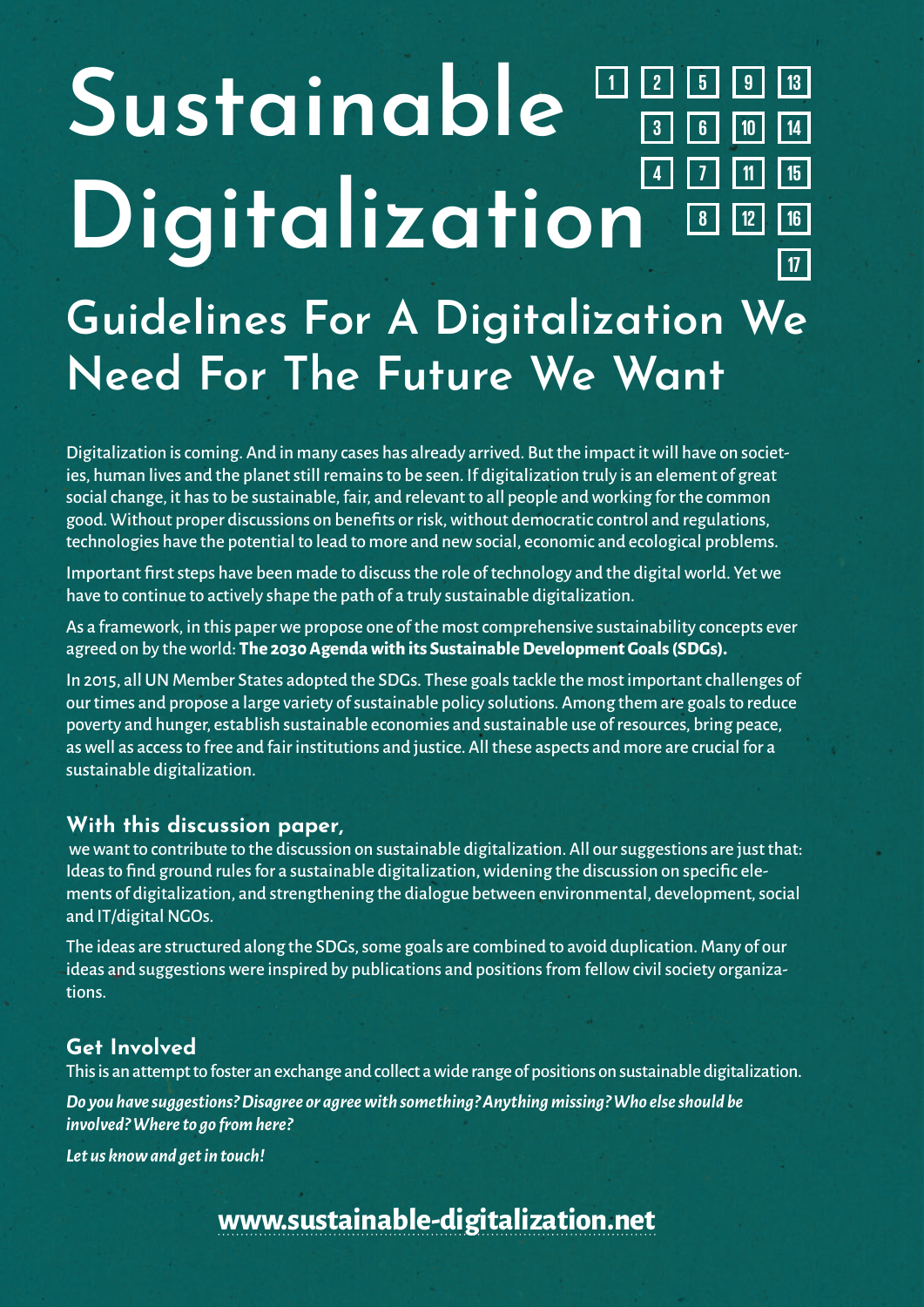#### **1 5 6 2 4 7 3 17 13 14 12 11 10 8 9 15 16 Sustainable Digitalization Guidelines For A Digitalization We Need For The Future We Want**

Digitalization is coming. And in many cases has already arrived. But the impact it will have on societies, human lives and the planet still remains to be seen. If digitalization truly is an element of great social change, it has to be sustainable, fair, and relevant to all people and working for the common good. Without proper discussions on benefits or risk, without democratic control and regulations, technologies have the potential to lead to more and new social, economic and ecological problems.

Important first steps have been made to discuss the role of technology and the digital world. Yet we have to continue to actively shape the path of a truly sustainable digitalization.

As a framework, in this paper we propose one of the most comprehensive sustainability concepts ever agreed on by the world: **The 2030 Agenda with its Sustainable Development Goals (SDGs).**

In 2015, all UN Member States adopted the SDGs. These goals tackle the most important challenges of our times and propose a large variety of sustainable policy solutions. Among them are goals to reduce poverty and hunger, establish sustainable economies and sustainable use of resources, bring peace, as well as access to free and fair institutions and justice. All these aspects and more are crucial for a sustainable digitalization.

#### **With this discussion paper,**

 we want to contribute to the discussion on sustainable digitalization. All our suggestions are just that: Ideas to find ground rules for a sustainable digitalization, widening the discussion on specific elements of digitalization, and strengthening the dialogue between environmental, development, social and IT/digital NGOs.

The ideas are structured along the SDGs, some goals are combined to avoid duplication. Many of our ideas and suggestions were inspired by publications and positions from fellow civil society organizations.

#### **Get Involved**

This is an attempt to foster an exchange and collect a wide range of positions on sustainable digitalization.

*Do you have suggestions? Disagree or agree with something? Anything missing? Who else should be involved? Where to go from here?*

*Let us know and get in touch!* 

**www.sustainable-digitalization.net**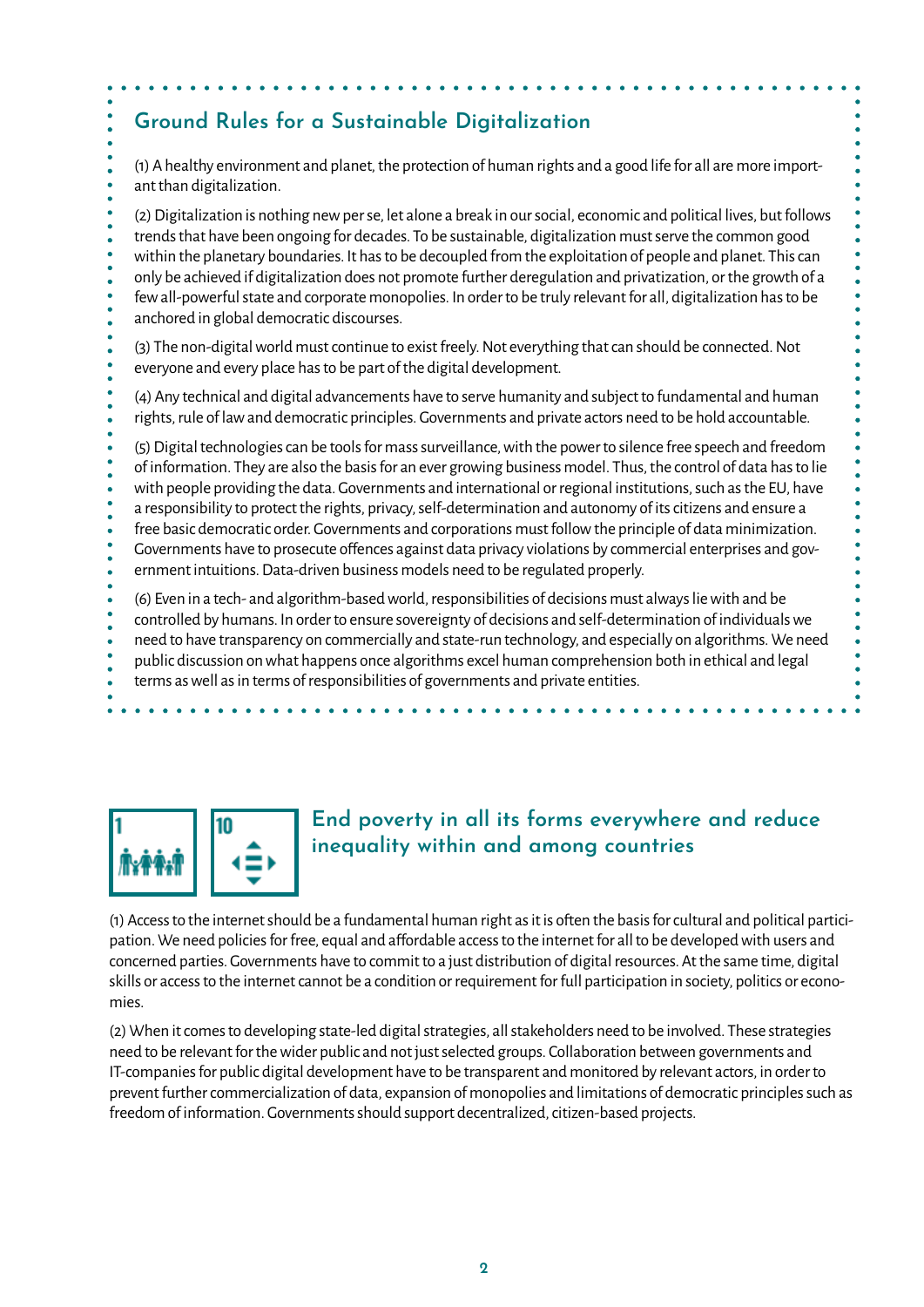# **Ground Rules for a Sustainable Digitalization**

(1) A healthy environment and planet, the protection of human rights and a good life for all are more important than digitalization.

(2) Digitalization is nothing new per se, let alone a break in our social, economic and political lives, but follows trends that have been ongoing for decades. To be sustainable, digitalization must serve the common good within the planetary boundaries. It has to be decoupled from the exploitation of people and planet. This can only be achieved if digitalization does not promote further deregulation and privatization, or the growth of a few all-powerful state and corporate monopolies. In order to be truly relevant for all, digitalization has to be anchored in global democratic discourses.

(3) The non-digital world must continue to exist freely. Not everything that can should be connected. Not everyone and every place has to be part of the digital development.

(4) Any technical and digital advancements have to serve humanity and subject to fundamental and human rights, rule of law and democratic principles. Governments and private actors need to be hold accountable.

(5) Digital technologies can be tools for mass surveillance, with the power to silence free speech and freedom of information. They are also the basis for an ever growing business model. Thus, the control of data has to lie with people providing the data. Governments and international or regional institutions, such as the EU, have a responsibility to protect the rights, privacy, self-determination and autonomy of its citizens and ensure a free basic democratic order. Governments and corporations must follow the principle of data minimization. Governments have to prosecute offences against data privacy violations by commercial enterprises and government intuitions. Data-driven business models need to be regulated properly. (6) Even in a tech- and algorithm-based world, responsibilities of decisions must always lie with and be controlled by humans. In order to ensure sovereignty of decisions and self-determination of individuals we

need to have transparency on commercially and state-run technology, and especially on algorithms. We need

- public discussion on what happens once algorithms excel human comprehension both in ethical and legal
- terms as well as in terms of responsibilities of governments and private entities.



 $\bullet$ 

## **End poverty in all its forms everywhere and reduce inequality within and among countries**

(1) Access to the internet should be a fundamental human right as it is often the basis for cultural and political participation. We need policies for free, equal and affordable access to the internet for all to be developed with users and concerned parties. Governments have to commit to a just distribution of digital resources. At the same time, digital skills or access to the internet cannot be a condition or requirement for full participation in society, politics or economies.

(2) When it comes to developing state-led digital strategies, all stakeholders need to be involved. These strategies need to be relevant for the wider public and not just selected groups. Collaboration between governments and IT-companies for public digital development have to be transparent and monitored by relevant actors, in order to prevent further commercialization of data, expansion of monopolies and limitations of democratic principles such as freedom of information. Governments should support decentralized, citizen-based projects.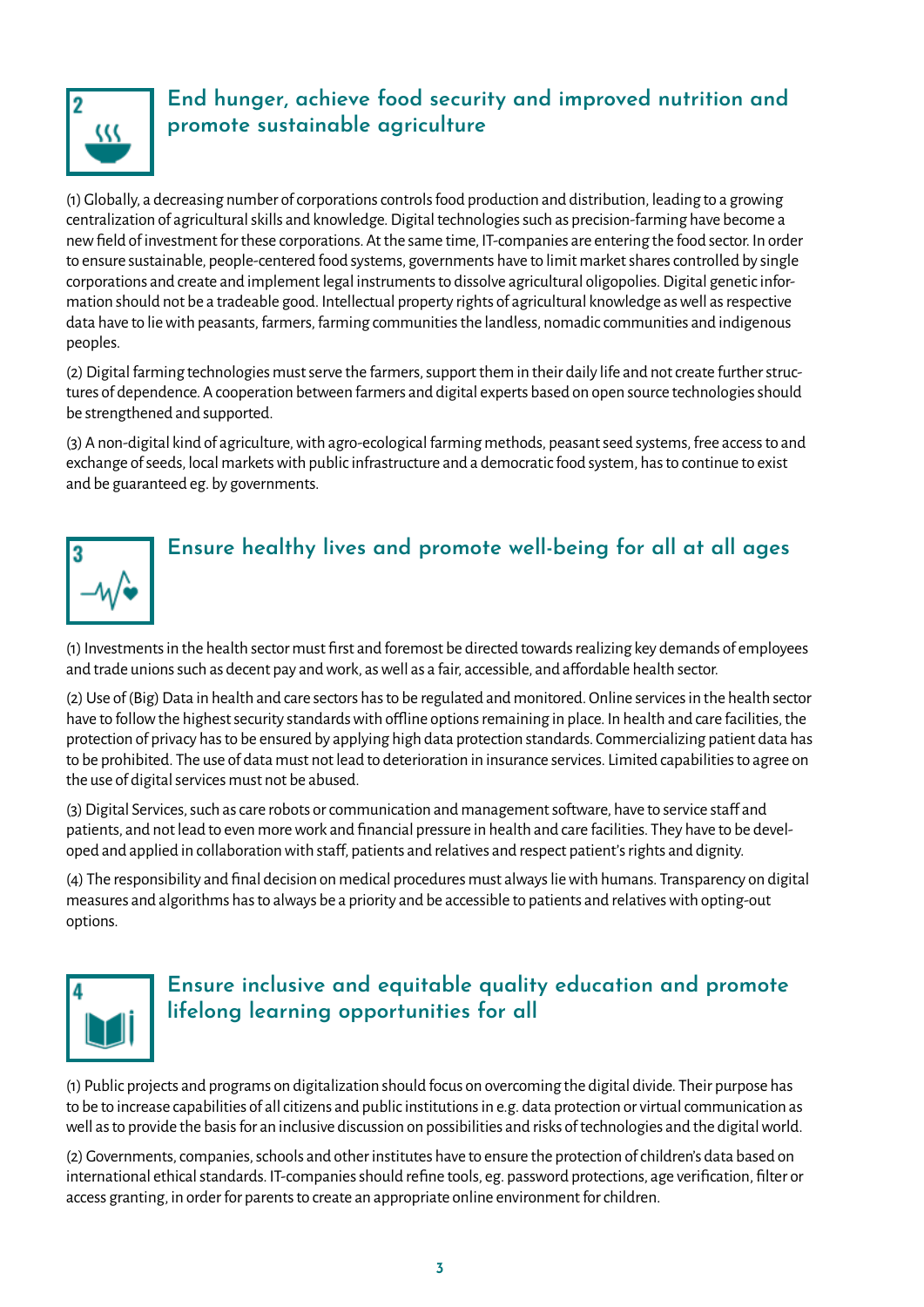

# **End hunger, achieve food security and improved nutrition and promote sustainable agriculture**

(1) Globally, a decreasing number of corporations controls food production and distribution, leading to a growing centralization of agricultural skills and knowledge. Digital technologies such as precision-farming have become a new field of investment for these corporations. At the same time, IT-companies are entering the food sector. In order to ensure sustainable, people-centered food systems, governments have to limit market shares controlled by single corporations and create and implement legal instruments to dissolve agricultural oligopolies. Digital genetic information should not be a tradeable good. Intellectual property rights of agricultural knowledge as well as respective data have to lie with peasants, farmers, farming communities the landless, nomadic communities and indigenous peoples.

(2) Digital farming technologies must serve the farmers, support them in their daily life and not create further structures of dependence. A cooperation between farmers and digital experts based on open source technologies should be strengthened and supported.

(3) A non-digital kind of agriculture, with agro-ecological farming methods, peasant seed systems, free access to and exchange of seeds, local markets with public infrastructure and a democratic food system, has to continue to exist and be guaranteed eg. by governments.



(1) Investments in the health sector must first and foremost be directed towards realizing key demands of employees and trade unions such as decent pay and work, as well as a fair, accessible, and affordable health sector.

(2) Use of (Big) Data in health and care sectors has to be regulated and monitored. Online services in the health sector have to follow the highest security standards with offline options remaining in place. In health and care facilities, the protection of privacy has to be ensured by applying high data protection standards. Commercializing patient data has to be prohibited. The use of data must not lead to deterioration in insurance services. Limited capabilities to agree on the use of digital services must not be abused.

(3) Digital Services, such as care robots or communication and management software, have to service staff and patients, and not lead to even more work and financial pressure in health and care facilities. They have to be developed and applied in collaboration with staff, patients and relatives and respect patient's rights and dignity.

(4) The responsibility and final decision on medical procedures must always lie with humans. Transparency on digital measures and algorithms has to always be a priority and be accessible to patients and relatives with opting-out options.



# **Ensure inclusive and equitable quality education and promote lifelong learning opportunities for all**

(1) Public projects and programs on digitalization should focus on overcoming the digital divide. Their purpose has to be to increase capabilities of all citizens and public institutions in e.g. data protection or virtual communication as well as to provide the basis for an inclusive discussion on possibilities and risks of technologies and the digital world.

(2) Governments, companies, schools and other institutes have to ensure the protection of children's data based on international ethical standards. IT-companies should refine tools, eg. password protections, age verification, filter or access granting, in order for parents to create an appropriate online environment for children.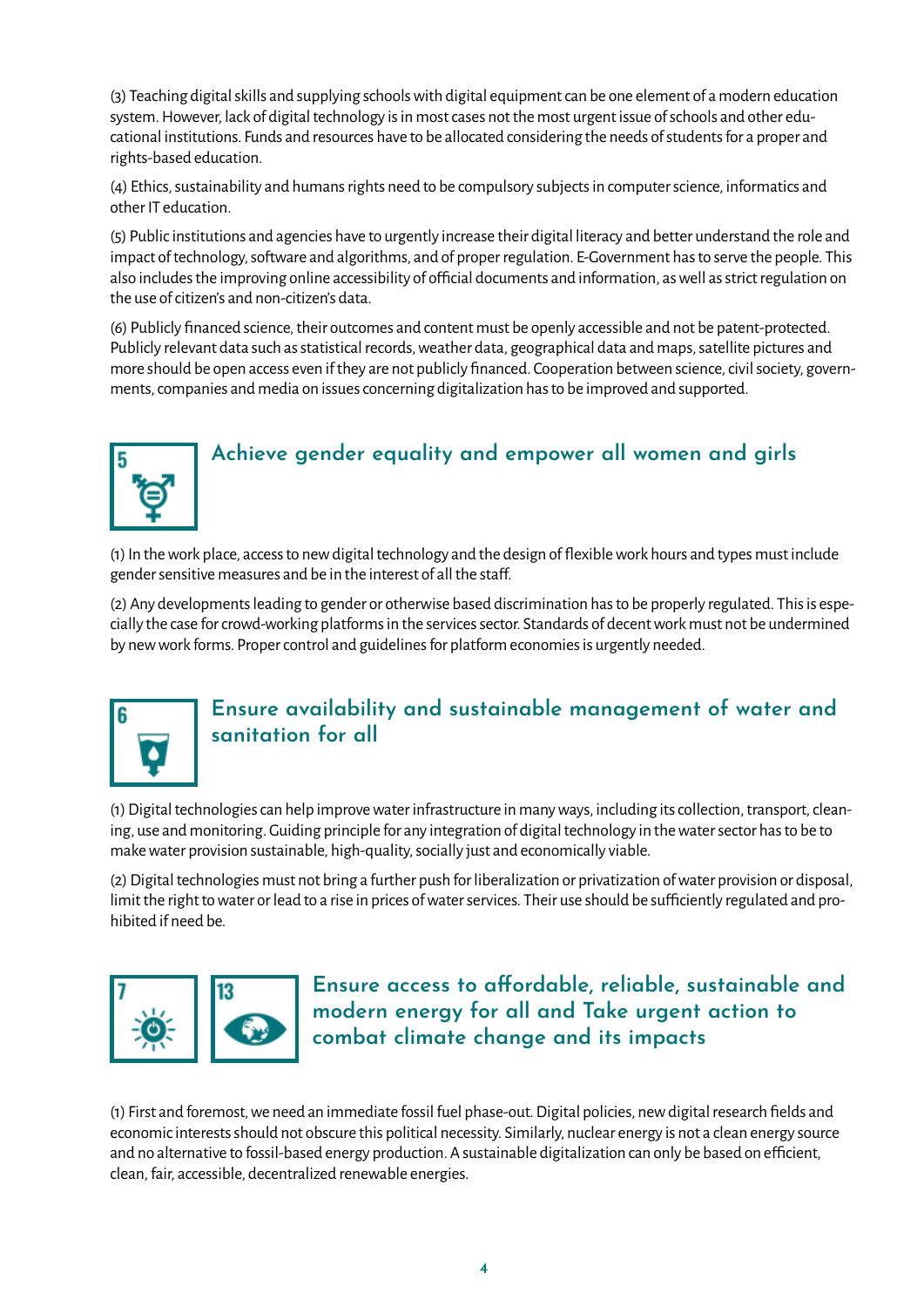(3) Teaching digital skills and supplying schools with digital equipment can be one element of a modern education system. However, lack of digital technology is in most cases not the most urgent issue of schools and other educational institutions. Funds and resources have to be allocated considering the needs of students for a proper and rights-based education.

(4) Ethics, sustainability and humans rights need to be compulsory subjects in computer science, informatics and other IT education.

(5) Public institutions and agencies have to urgently increase their digital literacy and better understand the role and impact of technology, software and algorithms, and of proper regulation. E-Government has to serve the people. This also includes the improving online accessibility of official documents and information, as well as strict regulation on the use of citizen's and non-citizen's data.

(6) Publicly financed science, their outcomes and content must be openly accessible and not be patent-protected. Publicly relevant data such as statistical records, weather data, geographical data and maps, satellite pictures and more should be open access even if they are not publicly financed. Cooperation between science, civil society, governments, companies and media on issues concerning digitalization has to be improved and supported.



## **Achieve gender equality and empower all women and girls**

(1) In the work place, access to new digital technology and the design of flexible work hours and types must include gender sensitive measures and be in the interest of all the staff.

(2) Any developments leading to gender or otherwise based discrimination has to be properly regulated. This is especially the case for crowd-working platforms in the services sector. Standards of decent work must not be undermined by new work forms. Proper control and guidelines for platform economies is urgently needed.



## **Ensure availability and sustainable management of water and sanitation for all**

(1) Digital technologies can help improve water infrastructure in many ways, including its collection, transport, cleaning, use and monitoring. Guiding principle for any integration of digital technology in the water sector has to be to make water provision sustainable, high-quality, socially just and economically viable.

(2) Digital technologies must not bring a further push for liberalization or privatization of water provision or disposal, limit the right to water or lead to a rise in prices of water services. Their use should be sufficiently regulated and prohibited if need be.



**Ensure access to affordable, reliable, sustainable and modern energy for all and Take urgent action to combat climate change and its impacts**

(1) First and foremost, we need an immediate fossil fuel phase-out. Digital policies, new digital research fields and economic interests should not obscure this political necessity. Similarly, nuclear energy is not a clean energy source and no alternative to fossil-based energy production. A sustainable digitalization can only be based on efficient, clean, fair, accessible, decentralized renewable energies.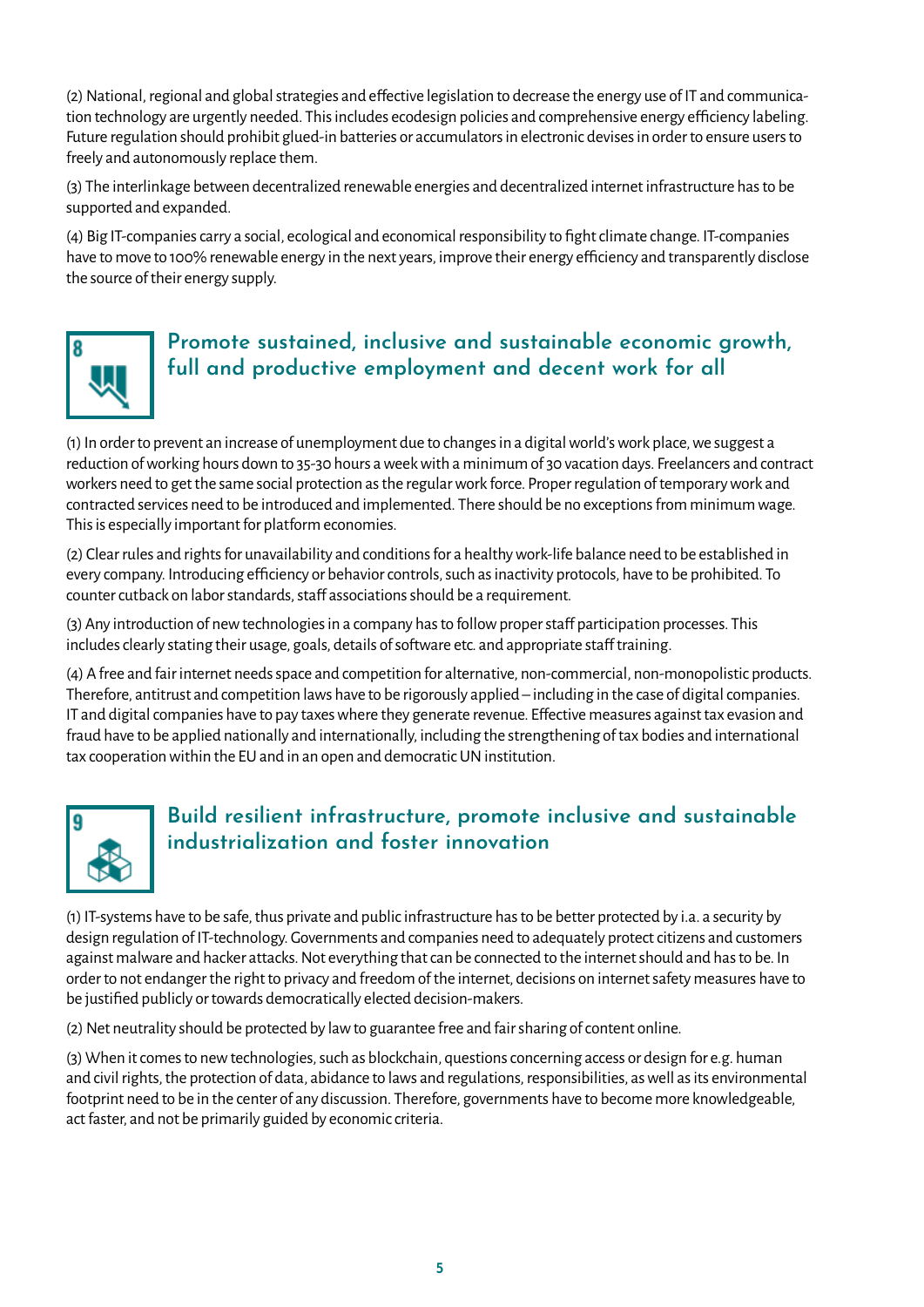(2) National, regional and global strategies and effective legislation to decrease the energy use of IT and communication technology are urgently needed. This includes ecodesign policies and comprehensive energy efficiency labeling. Future regulation should prohibit glued-in batteries or accumulators in electronic devises in order to ensure users to freely and autonomously replace them.

(3) The interlinkage between decentralized renewable energies and decentralized internet infrastructure has to be supported and expanded.

(4) Big IT-companies carry a social, ecological and economical responsibility to fight climate change. IT-companies have to move to 100% renewable energy in the next years, improve their energy efficiency and transparently disclose the source of their energy supply.



## **Promote sustained, inclusive and sustainable economic growth, full and productive employment and decent work for all**

(1) In order to prevent an increase of unemployment due to changes in a digital world's work place, we suggest a reduction of working hours down to 35-30 hours a week with a minimum of 30 vacation days. Freelancers and contract workers need to get the same social protection as the regular work force. Proper regulation of temporary work and contracted services need to be introduced and implemented. There should be no exceptions from minimum wage. This is especially important for platform economies.

(2) Clear rules and rights for unavailability and conditions for a healthy work-life balance need to be established in every company. Introducing efficiency or behavior controls, such as inactivity protocols, have to be prohibited. To counter cutback on labor standards, staff associations should be a requirement.

(3) Any introduction of new technologies in a company has to follow proper staff participation processes. This includes clearly stating their usage, goals, details of software etc. and appropriate staff training.

(4) A free and fair internet needs space and competition for alternative, non-commercial, non-monopolistic products. Therefore, antitrust and competition laws have to be rigorously applied – including in the case of digital companies. IT and digital companies have to pay taxes where they generate revenue. Effective measures against tax evasion and fraud have to be applied nationally and internationally, including the strengthening of tax bodies and international tax cooperation within the EU and in an open and democratic UN institution.



# **Build resilient infrastructure, promote inclusive and sustainable industrialization and foster innovation**

(1) IT-systems have to be safe, thus private and public infrastructure has to be better protected by i.a. a security by design regulation of IT-technology. Governments and companies need to adequately protect citizens and customers against malware and hacker attacks. Not everything that can be connected to the internet should and has to be. In order to not endanger the right to privacy and freedom of the internet, decisions on internet safety measures have to be justified publicly or towards democratically elected decision-makers.

(2) Net neutrality should be protected by law to guarantee free and fair sharing of content online.

(3) When it comes to new technologies, such as blockchain, questions concerning access or design for e.g. human and civil rights, the protection of data, abidance to laws and regulations, responsibilities, as well as its environmental footprint need to be in the center of any discussion. Therefore, governments have to become more knowledgeable, act faster, and not be primarily guided by economic criteria.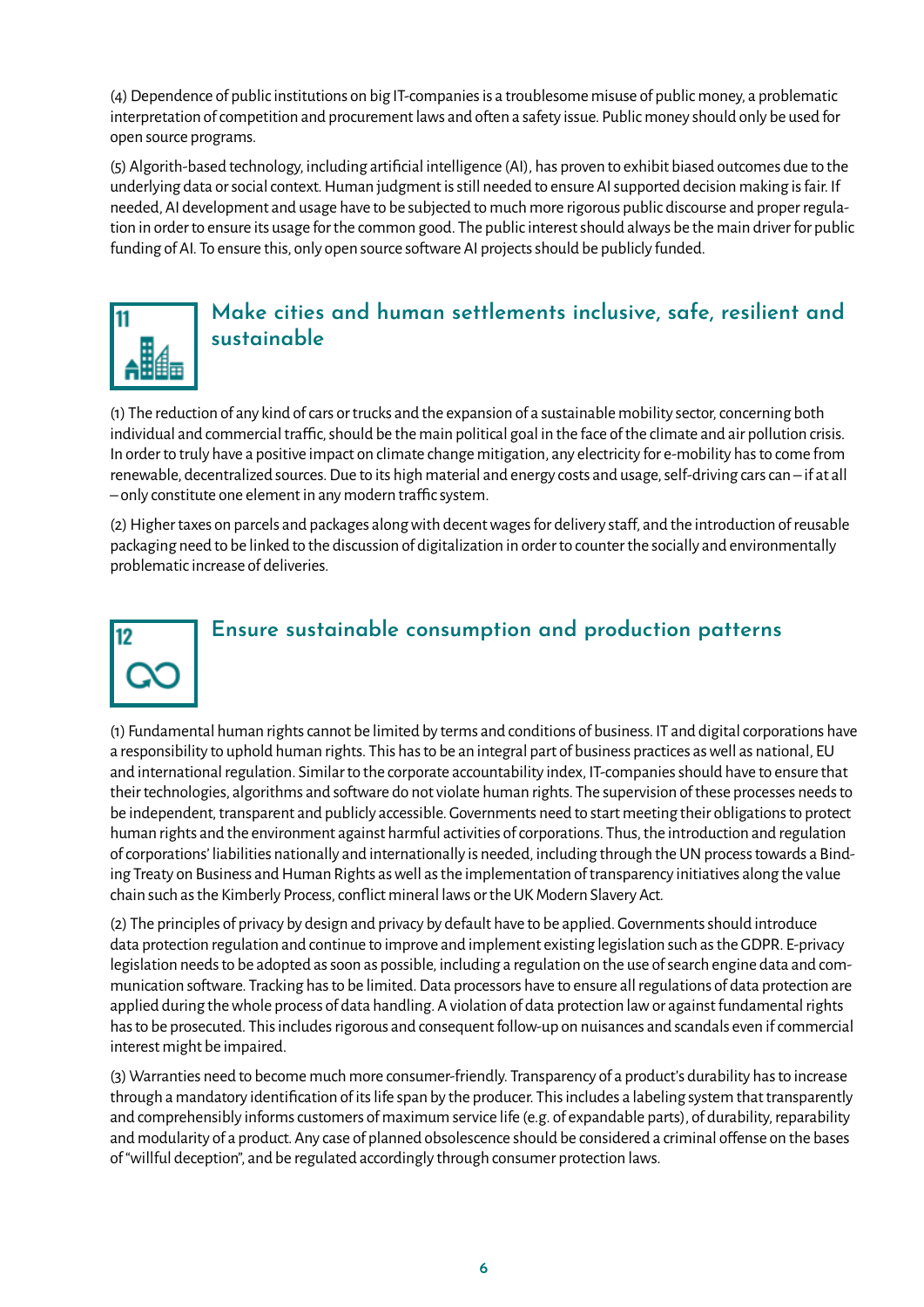(4) Dependence of public institutions on big IT-companies is a troublesome misuse of public money, a problematic interpretation of competition and procurement laws and often a safety issue. Public money should only be used for open source programs.

(5) Algorith-based technology, including artificial intelligence (AI), has proven to exhibit biased outcomes due to the underlying data or social context. Human judgment is still needed to ensure AI supported decision making is fair. If needed, AI development and usage have to be subjected to much more rigorous public discourse and proper regulation in order to ensure its usage for the common good. The public interest should always be the main driver for public funding of AI. To ensure this, only open source software AI projects should be publicly funded.



## **Make cities and human settlements inclusive, safe, resilient and sustainable**

(1) The reduction of any kind of cars or trucks and the expansion of a sustainable mobility sector, concerning both individual and commercial traffic, should be the main political goal in the face of the climate and air pollution crisis. In order to truly have a positive impact on climate change mitigation, any electricity for e-mobility has to come from renewable, decentralized sources. Due to its high material and energy costs and usage, self-driving cars can – if at all – only constitute one element in any modern traffic system.

(2) Higher taxes on parcels and packages along with decent wages for delivery staff, and the introduction of reusable packaging need to be linked to the discussion of digitalization in order to counter the socially and environmentally problematic increase of deliveries.



### **Ensure sustainable consumption and production patterns**

(1) Fundamental human rights cannot be limited by terms and conditions of business. IT and digital corporations have a responsibility to uphold human rights. This has to be an integral part of business practices as well as national, EU and international regulation. Similar to the corporate accountability index, IT-companies should have to ensure that their technologies, algorithms and software do not violate human rights. The supervision of these processes needs to be independent, transparent and publicly accessible. Governments need to start meeting their obligations to protect human rights and the environment against harmful activities of corporations. Thus, the introduction and regulation of corporations' liabilities nationally and internationally is needed, including through the UN process towards a Binding Treaty on Business and Human Rights as well as the implementation of transparency initiatives along the value chain such as the Kimberly Process, conflict mineral laws or the UK Modern Slavery Act.

(2) The principles of privacy by design and privacy by default have to be applied. Governments should introduce data protection regulation and continue to improve and implement existing legislation such as the GDPR. E-privacy legislation needs to be adopted as soon as possible, including a regulation on the use of search engine data and communication software. Tracking has to be limited. Data processors have to ensure all regulations of data protection are applied during the whole process of data handling. A violation of data protection law or against fundamental rights has to be prosecuted. This includes rigorous and consequent follow-up on nuisances and scandals even if commercial interest might be impaired.

(3) Warranties need to become much more consumer-friendly. Transparency of a product's durability has to increase through a mandatory identification of its life span by the producer. This includes a labeling system that transparently and comprehensibly informs customers of maximum service life (e.g. of expandable parts), of durability, reparability and modularity of a product. Any case of planned obsolescence should be considered a criminal offense on the bases of "willful deception", and be regulated accordingly through consumer protection laws.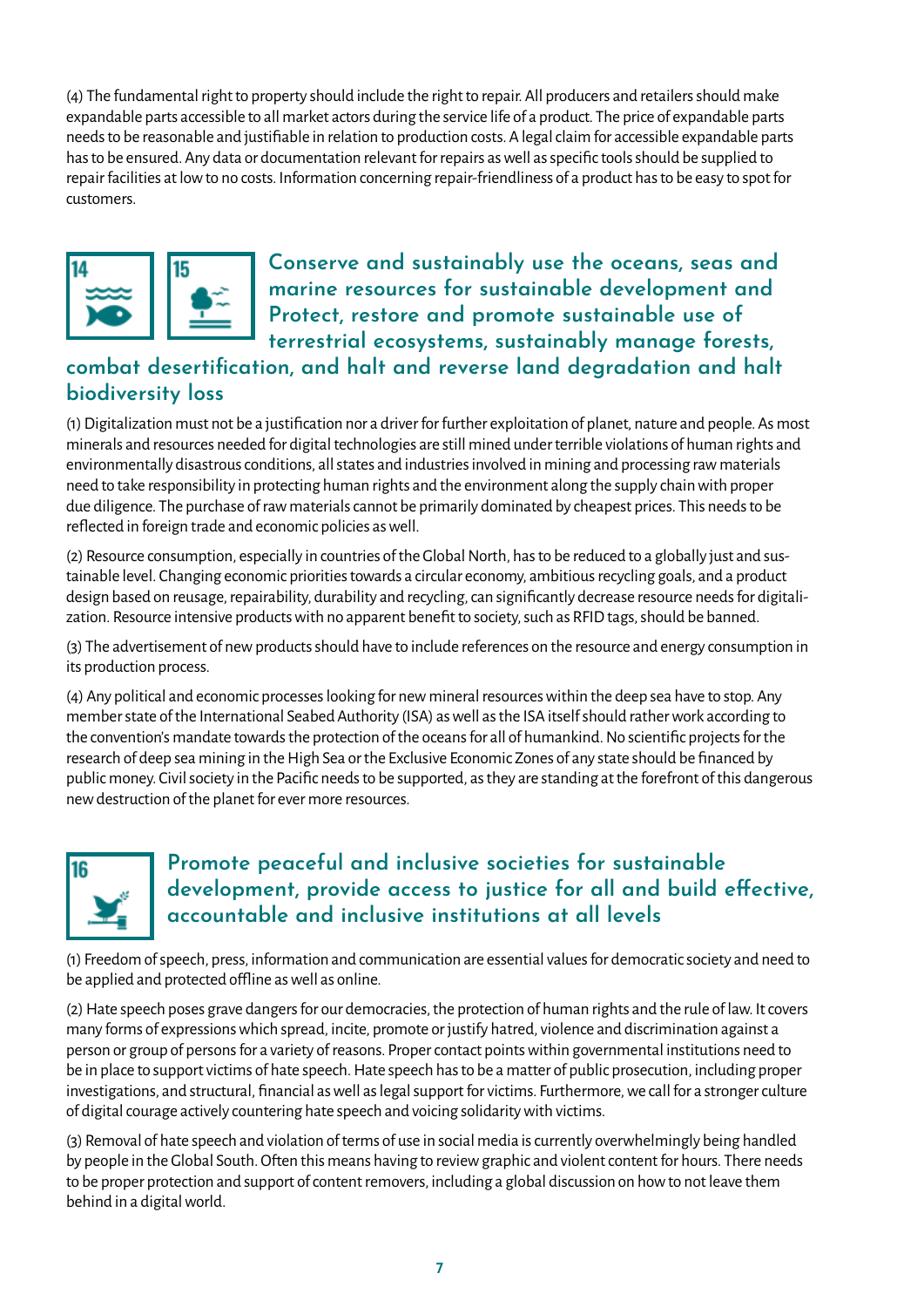(4) The fundamental right to property should include the right to repair. All producers and retailers should make expandable parts accessible to all market actors during the service life of a product. The price of expandable parts needs to be reasonable and justifiable in relation to production costs. A legal claim for accessible expandable parts has to be ensured. Any data or documentation relevant for repairs as well as specific tools should be supplied to repair facilities at low to no costs. Information concerning repair-friendliness of a product has to be easy to spot for customers.



**Conserve and sustainably use the oceans, seas and marine resources for sustainable development and Protect, restore and promote sustainable use of terrestrial ecosystems, sustainably manage forests,** 

# **combat desertification, and halt and reverse land degradation and halt biodiversity loss**

(1) Digitalization must not be a justification nor a driver for further exploitation of planet, nature and people. As most minerals and resources needed for digital technologies are still mined under terrible violations of human rights and environmentally disastrous conditions, all states and industries involved in mining and processing raw materials need to take responsibility in protecting human rights and the environment along the supply chain with proper due diligence. The purchase of raw materials cannot be primarily dominated by cheapest prices. This needs to be reflected in foreign trade and economic policies as well.

(2) Resource consumption, especially in countries of the Global North, has to be reduced to a globally just and sustainable level. Changing economic priorities towards a circular economy, ambitious recycling goals, and a product design based on reusage, repairability, durability and recycling, can significantly decrease resource needs for digitalization. Resource intensive products with no apparent benefit to society, such as RFID tags, should be banned.

(3) The advertisement of new products should have to include references on the resource and energy consumption in its production process.

(4) Any political and economic processes looking for new mineral resources within the deep sea have to stop. Any member state of the International Seabed Authority (ISA) as well as the ISA itself should rather work according to the convention's mandate towards the protection of the oceans for all of humankind. No scientific projects for the research of deep sea mining in the High Sea or the Exclusive Economic Zones of any state should be financed by public money. Civil society in the Pacific needs to be supported, as they are standing at the forefront of this dangerous new destruction of the planet for ever more resources.



## **Promote peaceful and inclusive societies for sustainable development, provide access to justice for all and build effective, accountable and inclusive institutions at all levels**

(1) Freedom of speech, press, information and communication are essential values for democratic society and need to be applied and protected offline as well as online.

(2) Hate speech poses grave dangers for our democracies, the protection of human rights and the rule of law. It covers many forms of expressions which spread, incite, promote or justify hatred, violence and discrimination against a person or group of persons for a variety of reasons. Proper contact points within governmental institutions need to be in place to support victims of hate speech. Hate speech has to be a matter of public prosecution, including proper investigations, and structural, financial as well as legal support for victims. Furthermore, we call for a stronger culture of digital courage actively countering hate speech and voicing solidarity with victims.

(3) Removal of hate speech and violation of terms of use in social media is currently overwhelmingly being handled by people in the Global South. Often this means having to review graphic and violent content for hours. There needs to be proper protection and support of content removers, including a global discussion on how to not leave them behind in a digital world.